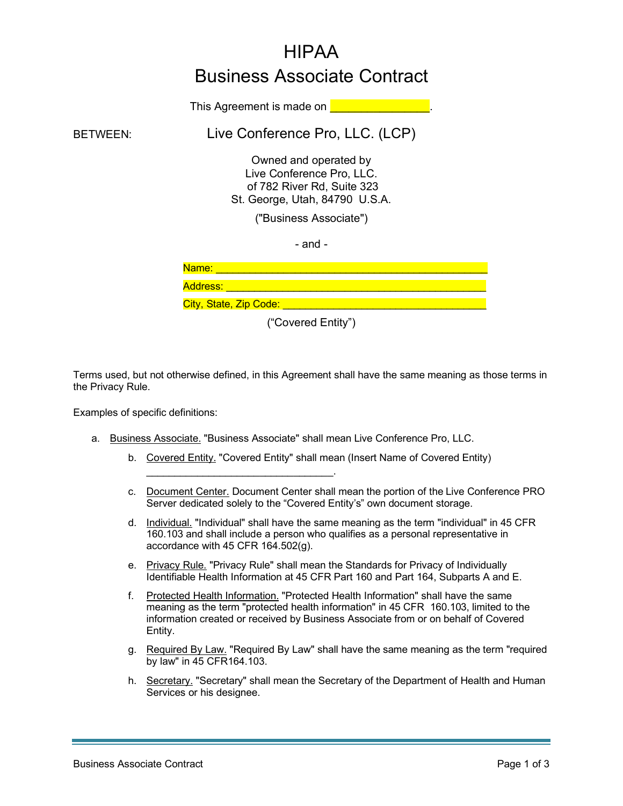# HIPAA Business Associate Contract

This Agreement is made on **Definition** 

BETWEEN: Live Conference Pro, LLC. (LCP)

Owned and operated by Live Conference Pro, LLC. of 782 River Rd, Suite 323 St. George, Utah, 84790 U.S.A.

("Business Associate")

- and -

| Name:                  |  |  |
|------------------------|--|--|
| <b>Address:</b>        |  |  |
| City, State, Zip Code: |  |  |

("Covered Entity")

Terms used, but not otherwise defined, in this Agreement shall have the same meaning as those terms in the Privacy Rule.

Examples of specific definitions:

a. Business Associate. "Business Associate" shall mean Live Conference Pro, LLC.

 $\mathcal{L}_\text{max}$  and  $\mathcal{L}_\text{max}$  and  $\mathcal{L}_\text{max}$  and  $\mathcal{L}_\text{max}$ 

- b. Covered Entity. "Covered Entity" shall mean (Insert Name of Covered Entity)
- c. Document Center. Document Center shall mean the portion of the Live Conference PRO Server dedicated solely to the "Covered Entity's" own document storage.
- d. Individual. "Individual" shall have the same meaning as the term "individual" in 45 CFR 160.103 and shall include a person who qualifies as a personal representative in accordance with 45 CFR 164.502(g).
- e. Privacy Rule. "Privacy Rule" shall mean the Standards for Privacy of Individually Identifiable Health Information at 45 CFR Part 160 and Part 164, Subparts A and E.
- f. Protected Health Information. "Protected Health Information" shall have the same meaning as the term "protected health information" in 45 CFR 160.103, limited to the information created or received by Business Associate from or on behalf of Covered Entity.
- g. Required By Law. "Required By Law" shall have the same meaning as the term "required by law" in 45 CFR164.103.
- h. Secretary. "Secretary" shall mean the Secretary of the Department of Health and Human Services or his designee.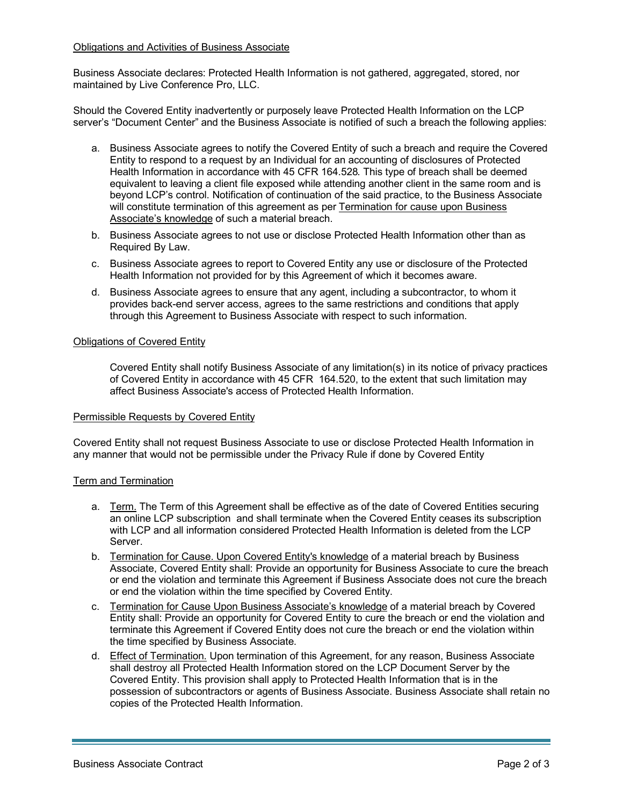### Obligations and Activities of Business Associate

Business Associate declares: Protected Health Information is not gathered, aggregated, stored, nor maintained by Live Conference Pro, LLC.

Should the Covered Entity inadvertently or purposely leave Protected Health Information on the LCP server's "Document Center" and the Business Associate is notified of such a breach the following applies:

- a. Business Associate agrees to notify the Covered Entity of such a breach and require the Covered Entity to respond to a request by an Individual for an accounting of disclosures of Protected Health Information in accordance with 45 CFR 164.528. This type of breach shall be deemed equivalent to leaving a client file exposed while attending another client in the same room and is beyond LCP's control. Notification of continuation of the said practice, to the Business Associate will constitute termination of this agreement as per Termination for cause upon Business Associate's knowledge of such a material breach.
- b. Business Associate agrees to not use or disclose Protected Health Information other than as Required By Law.
- c. Business Associate agrees to report to Covered Entity any use or disclosure of the Protected Health Information not provided for by this Agreement of which it becomes aware.
- d. Business Associate agrees to ensure that any agent, including a subcontractor, to whom it provides back-end server access, agrees to the same restrictions and conditions that apply through this Agreement to Business Associate with respect to such information.

## Obligations of Covered Entity

Covered Entity shall notify Business Associate of any limitation(s) in its notice of privacy practices of Covered Entity in accordance with 45 CFR 164.520, to the extent that such limitation may affect Business Associate's access of Protected Health Information.

### Permissible Requests by Covered Entity

Covered Entity shall not request Business Associate to use or disclose Protected Health Information in any manner that would not be permissible under the Privacy Rule if done by Covered Entity

### Term and Termination

- a. Term. The Term of this Agreement shall be effective as of the date of Covered Entities securing an online LCP subscription and shall terminate when the Covered Entity ceases its subscription with LCP and all information considered Protected Health Information is deleted from the LCP Server.
- b. Termination for Cause. Upon Covered Entity's knowledge of a material breach by Business Associate, Covered Entity shall: Provide an opportunity for Business Associate to cure the breach or end the violation and terminate this Agreement if Business Associate does not cure the breach or end the violation within the time specified by Covered Entity.
- c. Termination for Cause Upon Business Associate's knowledge of a material breach by Covered Entity shall: Provide an opportunity for Covered Entity to cure the breach or end the violation and terminate this Agreement if Covered Entity does not cure the breach or end the violation within the time specified by Business Associate.
- d. Effect of Termination. Upon termination of this Agreement, for any reason, Business Associate shall destroy all Protected Health Information stored on the LCP Document Server by the Covered Entity. This provision shall apply to Protected Health Information that is in the possession of subcontractors or agents of Business Associate. Business Associate shall retain no copies of the Protected Health Information.